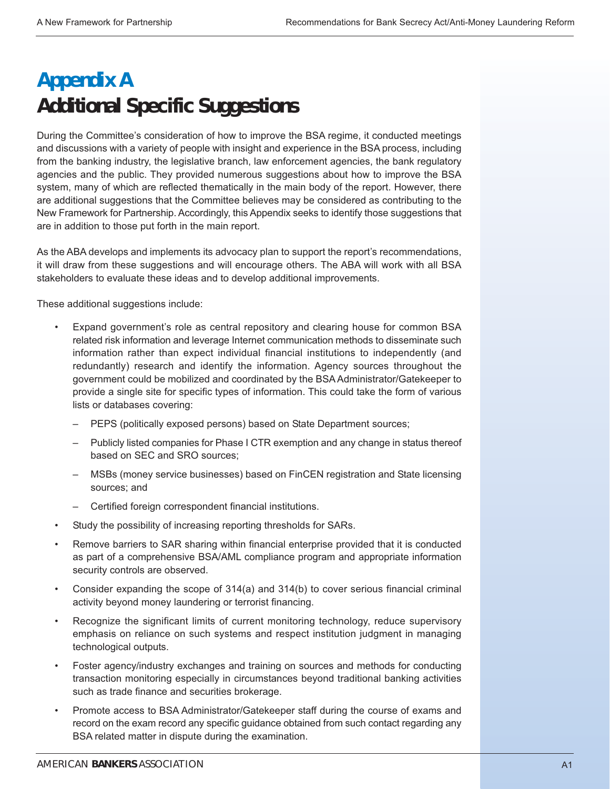## **Appendix A Additional Specific Suggestions**

During the Committee's consideration of how to improve the BSA regime, it conducted meetings and discussions with a variety of people with insight and experience in the BSA process, including from the banking industry, the legislative branch, law enforcement agencies, the bank regulatory agencies and the public. They provided numerous suggestions about how to improve the BSA system, many of which are reflected thematically in the main body of the report. However, there are additional suggestions that the Committee believes may be considered as contributing to the New Framework for Partnership. Accordingly, this Appendix seeks to identify those suggestions that are in addition to those put forth in the main report.

As the ABA develops and implements its advocacy plan to support the report's recommendations, it will draw from these suggestions and will encourage others. The ABA will work with all BSA stakeholders to evaluate these ideas and to develop additional improvements.

These additional suggestions include:

- Expand government's role as central repository and clearing house for common BSA related risk information and leverage Internet communication methods to disseminate such information rather than expect individual financial institutions to independently (and redundantly) research and identify the information. Agency sources throughout the government could be mobilized and coordinated by the BSA Administrator/Gatekeeper to provide a single site for specific types of information. This could take the form of various lists or databases covering:
	- PEPS (politically exposed persons) based on State Department sources;
	- Publicly listed companies for Phase I CTR exemption and any change in status thereof based on SEC and SRO sources;
	- MSBs (money service businesses) based on FinCEN registration and State licensing sources; and
	- Certified foreign correspondent financial institutions.
- Study the possibility of increasing reporting thresholds for SARs.
- Remove barriers to SAR sharing within financial enterprise provided that it is conducted as part of a comprehensive BSA/AML compliance program and appropriate information security controls are observed.
- Consider expanding the scope of 314(a) and 314(b) to cover serious financial criminal activity beyond money laundering or terrorist financing.
- Recognize the significant limits of current monitoring technology, reduce supervisory emphasis on reliance on such systems and respect institution judgment in managing technological outputs.
- Foster agency/industry exchanges and training on sources and methods for conducting transaction monitoring especially in circumstances beyond traditional banking activities such as trade finance and securities brokerage.
- Promote access to BSA Administrator/Gatekeeper staff during the course of exams and record on the exam record any specific guidance obtained from such contact regarding any BSA related matter in dispute during the examination.